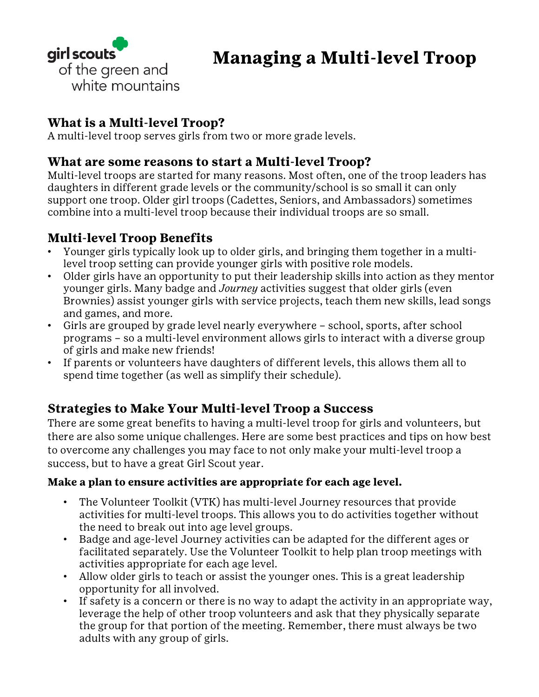

## **What is a Multi-level Troop?**

A multi-level troop serves girls from two or more grade levels.

## **What are some reasons to start a Multi-level Troop?**

Multi-level troops are started for many reasons. Most often, one of the troop leaders has daughters in different grade levels or the community/school is so small it can only support one troop. Older girl troops (Cadettes, Seniors, and Ambassadors) sometimes combine into a multi-level troop because their individual troops are so small.

# **Multi-level Troop Benefits**

- Younger girls typically look up to older girls, and bringing them together in a multilevel troop setting can provide younger girls with positive role models.
- Older girls have an opportunity to put their leadership skills into action as they mentor younger girls. Many badge and *Journey* activities suggest that older girls (even Brownies) assist younger girls with service projects, teach them new skills, lead songs and games, and more.
- Girls are grouped by grade level nearly everywhere school, sports, after school programs – so a multi-level environment allows girls to interact with a diverse group of girls and make new friends!
- If parents or volunteers have daughters of different levels, this allows them all to spend time together (as well as simplify their schedule).

# **Strategies to Make Your Multi-level Troop a Success**

There are some great benefits to having a multi-level troop for girls and volunteers, but there are also some unique challenges. Here are some best practices and tips on how best to overcome any challenges you may face to not only make your multi-level troop a success, but to have a great Girl Scout year.

#### **Make a plan to ensure activities are appropriate for each age level.**

- The Volunteer Toolkit (VTK) has multi-level Journey resources that provide activities for multi-level troops. This allows you to do activities together without the need to break out into age level groups.
- Badge and age-level Journey activities can be adapted for the different ages or facilitated separately. Use the Volunteer Toolkit to help plan troop meetings with activities appropriate for each age level.
- Allow older girls to teach or assist the younger ones. This is a great leadership opportunity for all involved.
- If safety is a concern or there is no way to adapt the activity in an appropriate way, leverage the help of other troop volunteers and ask that they physically separate the group for that portion of the meeting. Remember, there must always be two adults with any group of girls.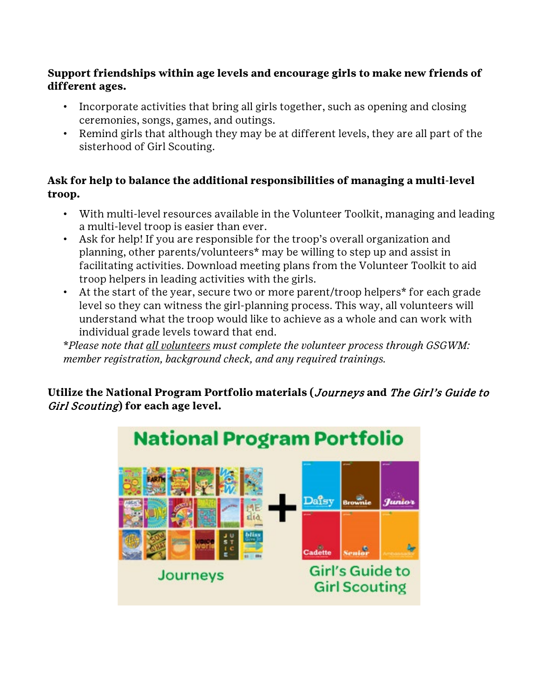#### **Support friendships within age levels and encourage girls to make new friends of different ages.**

- Incorporate activities that bring all girls together, such as opening and closing ceremonies, songs, games, and outings.
- Remind girls that although they may be at different levels, they are all part of the sisterhood of Girl Scouting.

### **Ask for help to balance the additional responsibilities of managing a multi-level troop.**

- With multi-level resources available in the Volunteer Toolkit, managing and leading a multi-level troop is easier than ever.
- Ask for help! If you are responsible for the troop's overall organization and planning, other parents/volunteers\* may be willing to step up and assist in facilitating activities. Download meeting plans from the Volunteer Toolkit to aid troop helpers in leading activities with the girls.
- At the start of the year, secure two or more parent/troop helpers\* for each grade level so they can witness the girl-planning process. This way, all volunteers will understand what the troop would like to achieve as a whole and can work with individual grade levels toward that end.

\**Please note that all volunteers must complete the volunteer process through GSGWM: member registration, background check, and any required trainings.*

**Utilize the National Program Portfolio materials (**Journeys **and** The Girl's Guide to Girl Scouting**) for each age level.**

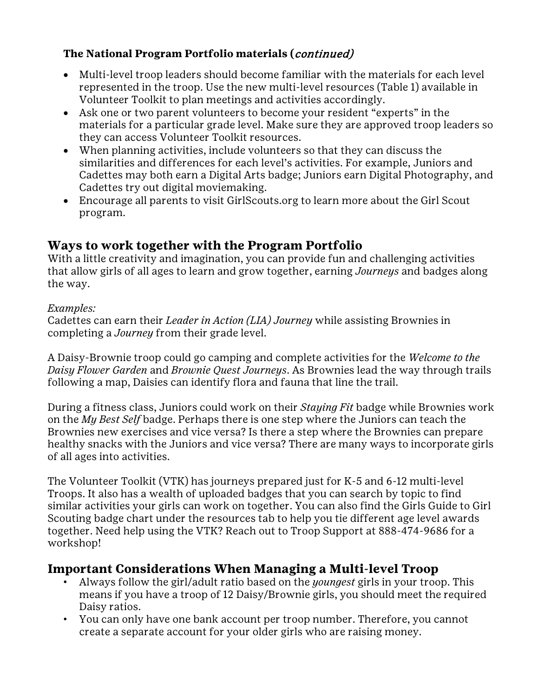### **The National Program Portfolio materials (**continued)

- Multi-level troop leaders should become familiar with the materials for each level represented in the troop. Use the new multi-level resources (Table 1) available in Volunteer Toolkit to plan meetings and activities accordingly.
- Ask one or two parent volunteers to become your resident "experts" in the materials for a particular grade level. Make sure they are approved troop leaders so they can access Volunteer Toolkit resources.
- When planning activities, include volunteers so that they can discuss the similarities and differences for each level's activities. For example, Juniors and Cadettes may both earn a Digital Arts badge; Juniors earn Digital Photography, and Cadettes try out digital moviemaking.
- Encourage all parents to visit GirlScouts.org to learn more about the Girl Scout program.

## **Ways to work together with the Program Portfolio**

With a little creativity and imagination, you can provide fun and challenging activities that allow girls of all ages to learn and grow together, earning *Journeys* and badges along the way.

#### *Examples:*

Cadettes can earn their *Leader in Action (LIA) Journey* while assisting Brownies in completing a *Journey* from their grade level.

A Daisy-Brownie troop could go camping and complete activities for the *Welcome to the Daisy Flower Garden* and *Brownie Quest Journeys*. As Brownies lead the way through trails following a map, Daisies can identify flora and fauna that line the trail.

During a fitness class, Juniors could work on their *Staying Fit* badge while Brownies work on the *My Best Self* badge. Perhaps there is one step where the Juniors can teach the Brownies new exercises and vice versa? Is there a step where the Brownies can prepare healthy snacks with the Juniors and vice versa? There are many ways to incorporate girls of all ages into activities.

The Volunteer Toolkit (VTK) has journeys prepared just for K-5 and 6-12 multi-level Troops. It also has a wealth of uploaded badges that you can search by topic to find similar activities your girls can work on together. You can also find the Girls Guide to Girl Scouting badge chart under the resources tab to help you tie different age level awards together. Need help using the VTK? Reach out to Troop Support at 888-474-9686 for a workshop!

## **Important Considerations When Managing a Multi-level Troop**

- Always follow the girl/adult ratio based on the *youngest* girls in your troop. This means if you have a troop of 12 Daisy/Brownie girls, you should meet the required Daisy ratios.
- You can only have one bank account per troop number. Therefore, you cannot create a separate account for your older girls who are raising money.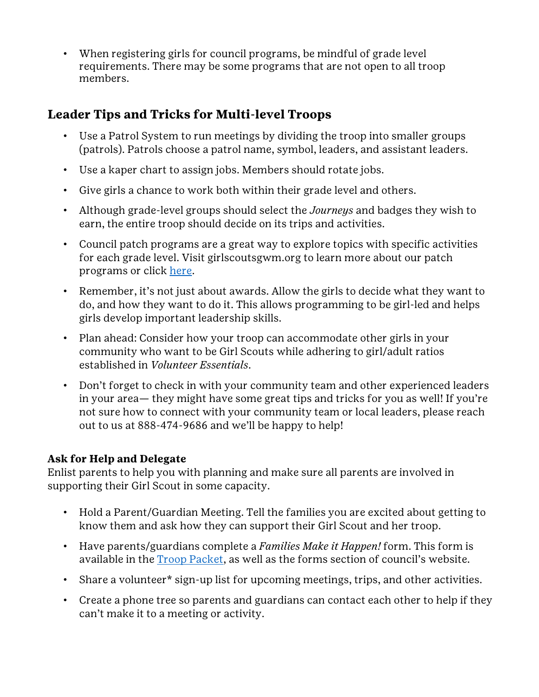• When registering girls for council programs, be mindful of grade level requirements. There may be some programs that are not open to all troop members.

# **Leader Tips and Tricks for Multi-level Troops**

- Use a Patrol System to run meetings by dividing the troop into smaller groups (patrols). Patrols choose a patrol name, symbol, leaders, and assistant leaders.
- Use a kaper chart to assign jobs. Members should rotate jobs.
- Give girls a chance to work both within their grade level and others.
- Although grade-level groups should select the *Journeys* and badges they wish to earn, the entire troop should decide on its trips and activities.
- Council patch programs are a great way to explore topics with specific activities for each grade level. Visit girlscoutsgwm.org to learn more about our patch programs or click [here.](http://www.girlscoutsgwm.org/en/about-girl-scouts/badges-and-patches/patch-program.html)
- Remember, it's not just about awards. Allow the girls to decide what they want to do, and how they want to do it. This allows programming to be girl-led and helps girls develop important leadership skills.
- Plan ahead: Consider how your troop can accommodate other girls in your community who want to be Girl Scouts while adhering to girl/adult ratios established in *Volunteer Essentials*.
- Don't forget to check in with your community team and other experienced leaders in your area— they might have some great tips and tricks for you as well! If you're not sure how to connect with your community team or local leaders, please reach out to us at 888-474-9686 and we'll be happy to help!

### **Ask for Help and Delegate**

Enlist parents to help you with planning and make sure all parents are involved in supporting their Girl Scout in some capacity.

- Hold a Parent/Guardian Meeting. Tell the families you are excited about getting to know them and ask how they can support their Girl Scout and her troop.
- Have parents/guardians complete a *Families Make it Happen!* form. This form is available in the [Troop Packet,](http://www.girlscoutsgwm.org/en/for-volunteers/troop-packet.html) as well as the forms section of council's website.
- Share a volunteer\* sign-up list for upcoming meetings, trips, and other activities.
- Create a phone tree so parents and guardians can contact each other to help if they can't make it to a meeting or activity.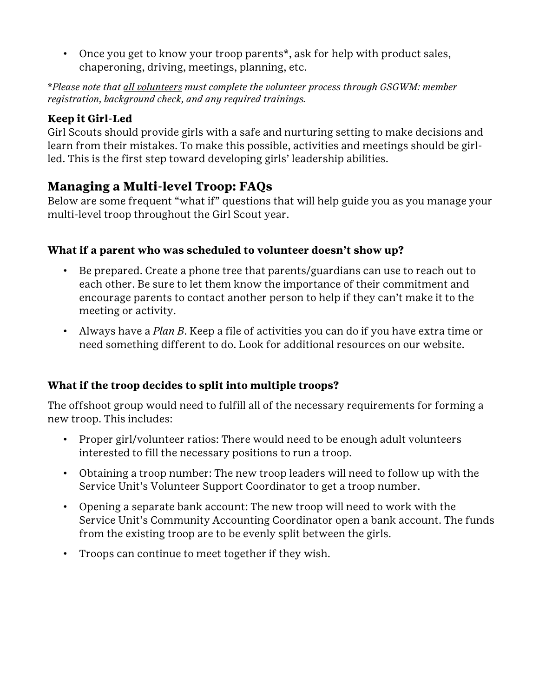• Once you get to know your troop parents\*, ask for help with product sales, chaperoning, driving, meetings, planning, etc.

\**Please note that all volunteers must complete the volunteer process through GSGWM: member registration, background check, and any required trainings.*

### **Keep it Girl-Led**

Girl Scouts should provide girls with a safe and nurturing setting to make decisions and learn from their mistakes. To make this possible, activities and meetings should be girlled. This is the first step toward developing girls' leadership abilities.

## **Managing a Multi-level Troop: FAQs**

Below are some frequent "what if" questions that will help guide you as you manage your multi-level troop throughout the Girl Scout year.

### **What if a parent who was scheduled to volunteer doesn't show up?**

- Be prepared. Create a phone tree that parents/guardians can use to reach out to each other. Be sure to let them know the importance of their commitment and encourage parents to contact another person to help if they can't make it to the meeting or activity.
- Always have a *Plan B*. Keep a file of activities you can do if you have extra time or need something different to do. Look for additional resources on our website.

### **What if the troop decides to split into multiple troops?**

The offshoot group would need to fulfill all of the necessary requirements for forming a new troop. This includes:

- Proper girl/volunteer ratios: There would need to be enough adult volunteers interested to fill the necessary positions to run a troop.
- Obtaining a troop number: The new troop leaders will need to follow up with the Service Unit's Volunteer Support Coordinator to get a troop number.
- Opening a separate bank account: The new troop will need to work with the Service Unit's Community Accounting Coordinator open a bank account. The funds from the existing troop are to be evenly split between the girls.
- Troops can continue to meet together if they wish.